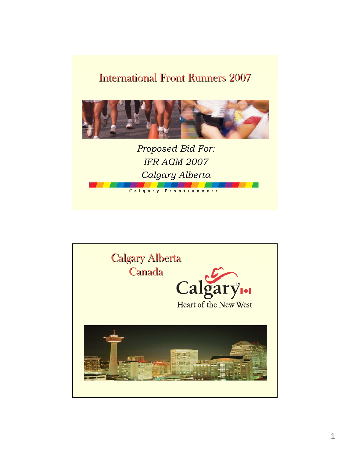#### International Front Runners 2007



*Proposed Bid For: Proposed For: IFR AGM 2007 IFR AGM 2007 Calgary Alberta Calgary Alberta*

Calgary Frontrunners

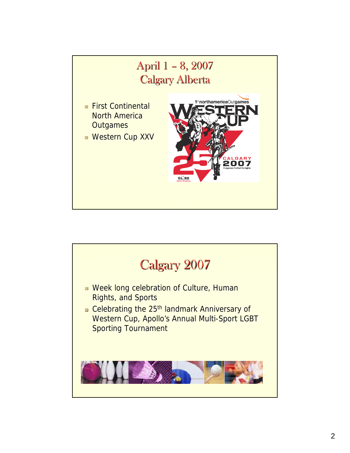

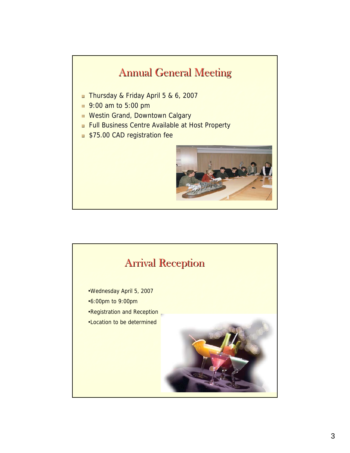#### **Annual General Meeting**

- Thursday & Friday April 5 & 6, 2007
- 9:00 am to 5:00 pm
- **Westin Grand, Downtown Calgary**
- **Full Business Centre Available at Host Property**
- **\$75.00 CAD registration fee**



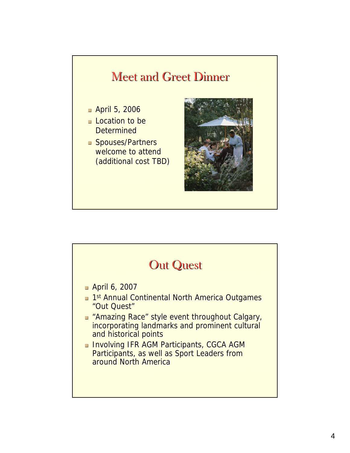## **Meet and Greet Dinner**  $\blacksquare$  April 5, 2006  $\Box$  Location to be **Determined Spouses/Partners** welcome to attend (additional cost TBD) (additional cost TBD)

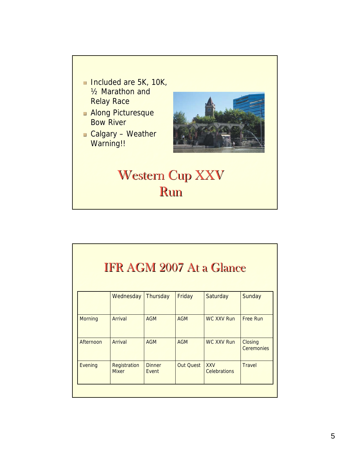#### ■ Included are 5K, 10K,  $\frac{1}{2}$  Marathon and **Relay Race**

- **Along Picturesque Bow River**
- $\Box$  Calgary Weather Warning!!



## Western Cup XXV Run

| <b>IFR AGM 2007 At a Glance</b> |                              |                        |            |                                   |                              |
|---------------------------------|------------------------------|------------------------|------------|-----------------------------------|------------------------------|
|                                 |                              |                        |            |                                   |                              |
| <b>Morning</b>                  | Arrival                      | <b>AGM</b>             | <b>AGM</b> | <b>WC XXV Run</b>                 | <b>Free Run</b>              |
| Afternoon                       | <b>Arrival</b>               | <b>AGM</b>             | <b>AGM</b> | <b>WC XXV Run</b>                 | Closing<br><b>Ceremonies</b> |
| Evening                         | Registration<br><b>Mixer</b> | <b>Dinner</b><br>Fvent | Out Ouest  | <b>XXV</b><br><b>Celebrations</b> | <b>Travel</b>                |
|                                 |                              |                        |            |                                   |                              |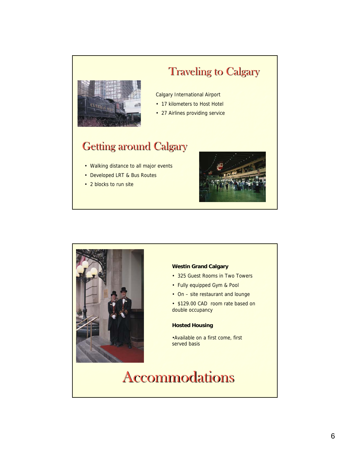# **ANADIAN**

## **Traveling to Calgary**

#### Calgary International Airport

- 17 kilometers to Host Hotel
- 27 Airlines providing service

### Getting around Calgary

- Walking distance to all major events
- Developed LRT & Bus Routes
- 2 blocks to run site





#### **Westin Grand Calgary**

- 325 Guest Rooms in Two Towers
- Fully equipped Gym & Pool
- On site restaurant and lounge
- \$129.00 CAD room rate based on double occupancy

#### **Hosted Housing**

•Available on a first come, first served basis

## Accommodations Accommodations